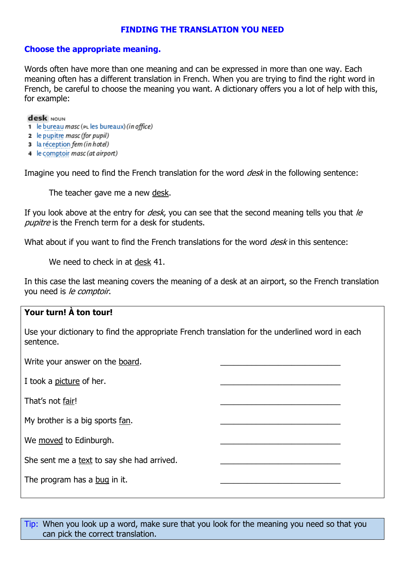## **FINDING THE TRANSLATION YOU NEED**

### **Choose the appropriate meaning.**

Words often have more than one meaning and can be expressed in more than one way. Each meaning often has a different translation in French. When you are trying to find the right word in French, be careful to choose the meaning you want. A dictionary offers you a lot of help with this, for example:

#### desk NOUN

- 1 le bureau masc (PL les bureaux) (in office)
- **2** le pupitre masc (for pupil)
- 3 la réception fem (in hotel)
- 4 le comptoir masc (at airport)

Imagine you need to find the French translation for the word *desk* in the following sentence:

The teacher gave me a new desk.

If you look above at the entry for *desk*, you can see that the second meaning tells you that  $\ell$ pupitre is the French term for a desk for students.

What about if you want to find the French translations for the word *desk* in this sentence:

We need to check in at desk 41.

In this case the last meaning covers the meaning of a desk at an airport, so the French translation you need is le comptoir.

# **Your turn! À ton tour!** Use your dictionary to find the appropriate French translation for the underlined word in each sentence. Write your answer on the board. I took a picture of her. That's not fair! My brother is a big sports fan. We moved to Edinburgh. She sent me a text to say she had arrived. The program has a bug in it.

Tip: When you look up a word, make sure that you look for the meaning you need so that you can pick the correct translation.